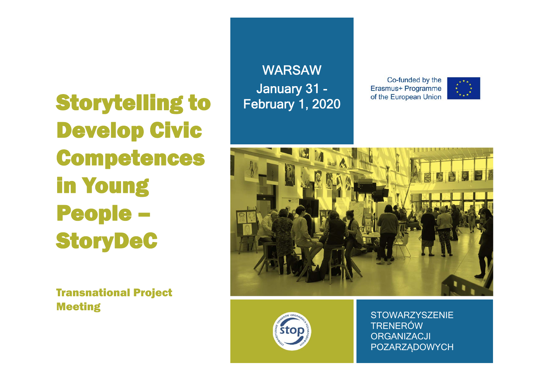Storytelling to Develop Civic Competences in Young People – StoryDeC

Transnational Project Meeting

**WARSAW** January 31 - February 1, 2020

Co-funded by the Erasmus+ Programme of the European Union







STOWARZYSZENIE TRENERÓWORGANIZACJI POZARZĄDOWYCH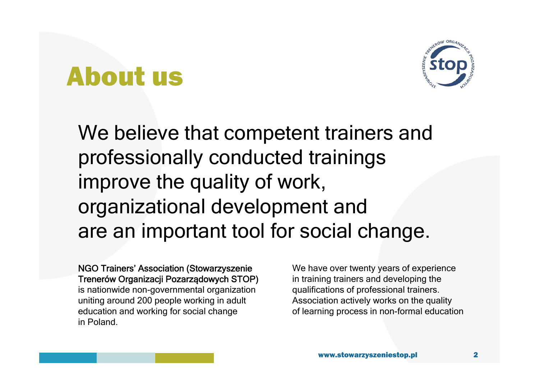### About us



We believe that competent trainers and professionally conducted trainings improve the quality of work, organizational development and are an important tool for social change.

NGO Trainers' Association (Stowarzyszenie Trenerów Organizacji Pozarządowych STOP) is nationwide non-governmental organization uniting around 200 people working in adult education and working for social change in Poland.

We have over twenty years of experience in training trainers and developing the qualifications of professional trainers. Association actively works on the quality of learning process in non-formal education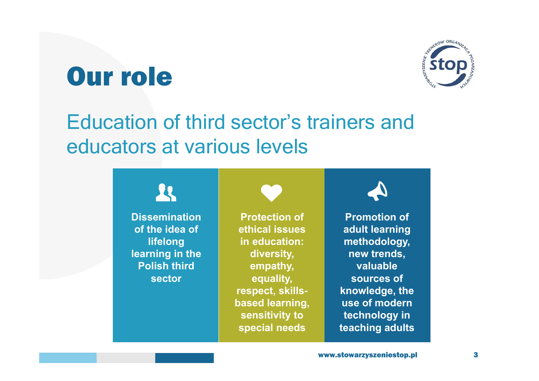## Our role



### Education of third sector's trainers and educators at various levels



**Dissemination of the idea of lifelong learning in the Polish third sector**

**Protection of ethical issues in education: diversity, empathy, equality, respect, skillsbased learning, sensitivity to special needs**

**Promotion** of **adult learning methodology, new trends, valuable sources of knowledge, the use of modern technology in teaching adults**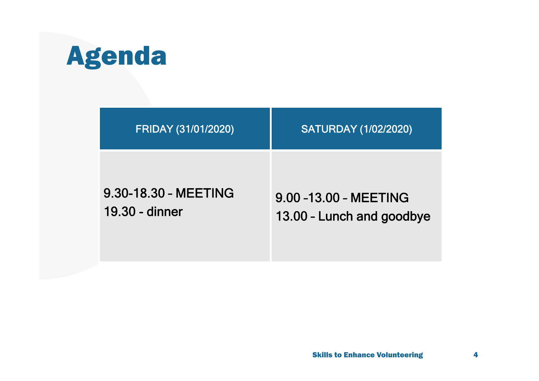# Agenda

| <b>FRIDAY (31/01/2020)</b> | <b>SATURDAY (1/02/2020)</b> |
|----------------------------|-----------------------------|
| 9.30-18.30 - MEETING       | 9.00-13.00 - MEETING        |
| 19.30 - dinner             | 13.00 - Lunch and goodbye   |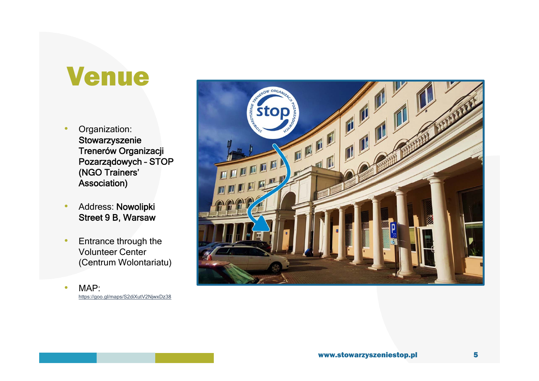### Venue

- • Organization: **Stowarzyszenie** Trenerów Organizacji Pozarządowych – STOP (NGO Trainers' Association)
- • Address: Nowolipki Street 9 B, Warsaw
- • Entrance through the Volunteer Center (Centrum Wolontariatu)
- • MAP: https://goo.gl/maps/S2diXutV2NjwxDz38

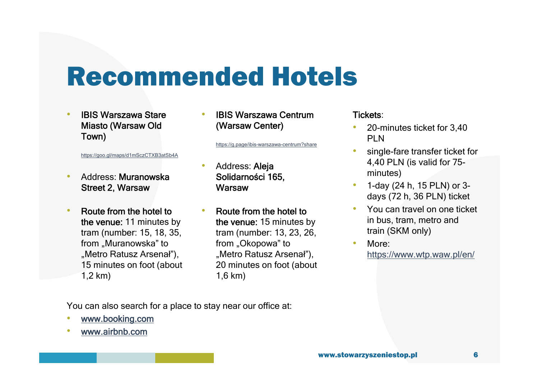## Recommended Hotels

• IBIS Warszawa Stare Miasto (Warsaw Old Town)

https://goo.gl/maps/d1mSczCTXB3atSb4A

- • Address: Muranowska Street 2, Warsaw
- • Route from the hotel to the venue: 11 minutes by tram (number: 15, 18, 35, from "Muranowska" to "Metro Ratusz Arsenał"), 15 minutes on foot (about 1,2 km)

• IBIS Warszawa Centrum (Warsaw Center)

https://g.page/ibis-warszawa-centrum?share

- • Address: Aleja Solidarności 165, **Warsaw**
- • Route from the hotel to the venue: 15 minutes by tram (number: 13, 23, 26, from "Okopowa" to "Metro Ratusz Arsenał"), 20 minutes on foot (about 1,6 km)

#### Tickets:

- • 20-minutes ticket for 3,40 PL<sub>N</sub>
- • single-fare transfer ticket for 4,40 PLN (is valid for 75 minutes)
- • 1-day (24 h, 15 PLN) or 3 days (72 h, 36 PLN) ticket
- • You can travel on one ticket in bus, tram, metro and train (SKM only)
- • More: https://www.wtp.waw.pl/en/

You can also search for a place to stay near our office at:

- •www.booking.com
- •www.airbnb.com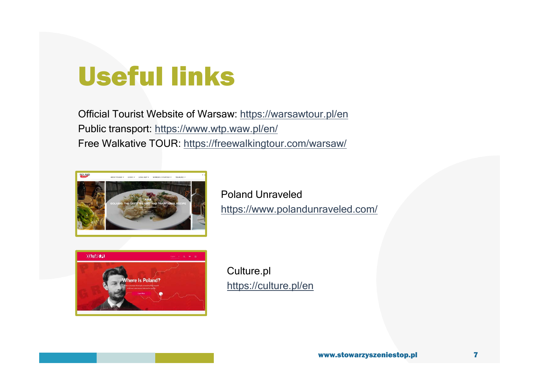# Useful links

Official Tourist Website of Warsaw: https://warsawtour.pl/en Public transport: https://www.wtp.waw.pl/en/ Free Walkative TOUR: https://freewalkingtour.com/warsaw/



Poland Unraveledhttps://www.polandunraveled.com/



Culture.pl https://culture.pl/en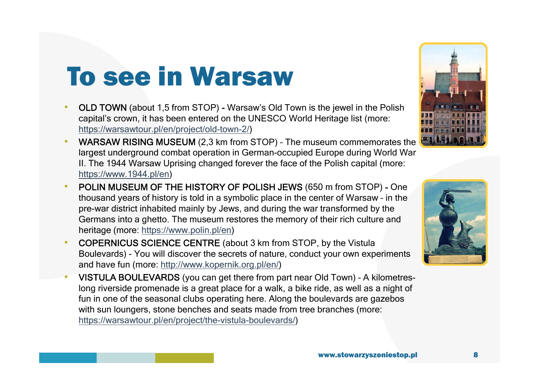# To see in Warsaw

- • OLD TOWN (about 1,5 from STOP) - Warsaw's Old Town is the jewel in the Polish capital's crown, it has been entered on the UNESCO World Heritage list (more: https://warsawtour.pl/en/project/old-town-2/)
- •WARSAW RISING MUSEUM (2,3 km from STOP) - The museum commemorates the largest underground combat operation in German-occupied Europe during World War II. The 1944 Warsaw Uprising changed forever the face of the Polish capital (more: https://www.1944.pl/en)
- • POLIN MUSEUM OF THE HISTORY OF POLISH JEWS (650 m from STOP) - One thousand years of history is told in a symbolic place in the center of Warsaw – in the pre-war district inhabited mainly by Jews, and during the war transformed by the Germans into a ghetto. The museum restores the memory of their rich culture and heritage (more: https://www.polin.pl/en)
- • COPERNICUS SCIENCE CENTRE (about 3 km from STOP, by the Vistula Boulevards) - You will discover the secrets of nature, conduct your own experiments and have fun (more: http://www.kopernik.org.pl/en/)
- • VISTULA BOULEVARDS (you can get there from part near Old Town) – A kilometreslong riverside promenade is a great place for a walk, a bike ride, as well as a night of fun in one of the seasonal clubs operating here. Along the boulevards are gazebos with sun loungers, stone benches and seats made from tree branches (more: https://warsawtour.pl/en/project/the-vistula-boulevards/)



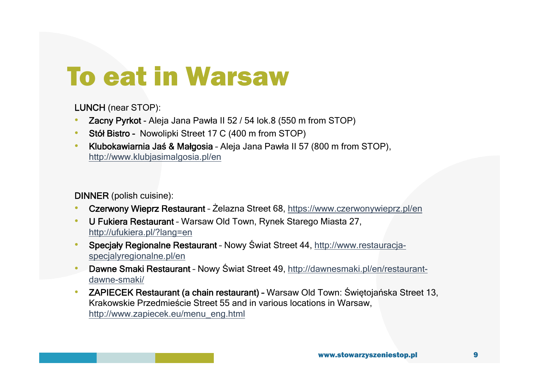# To eat in Warsaw

LUNCH (near STOP):

- •Zacny Pyrkot - Aleja Jana Pawła II 52 / 54 lok.8 (550 m from STOP)
- •Stół Bistro - Nowolipki Street 17 C (400 m from STOP)
- • Klubokawiarnia Jaś & Małgosia – Aleja Jana Pawła II 57 (800 m from STOP), http://www.klubjasimalgosia.pl/en

#### DINNER (polish cuisine):

- •Czerwony Wieprz Restaurant – Żelazna Street 68, https://www.czerwonywieprz.pl/en
- • U Fukiera Restaurant – Warsaw Old Town, Rynek Starego Miasta 27, http://ufukiera.pl/?lang=en
- • Specjały Regionalne Restaurant – Nowy Świat Street 44, http://www.restauracjaspecjalyregionalne.pl/en
- • Dawne Smaki Restaurant – Nowy Świat Street 49, http://dawnesmaki.pl/en/restaurantdawne-smaki/
- • ZAPIECEK Restaurant (a chain restaurant) – Warsaw Old Town: Świętojańska Street 13, Krakowskie Przedmieście Street 55 and in various locations in Warsaw, http://www.zapiecek.eu/menu\_eng.html